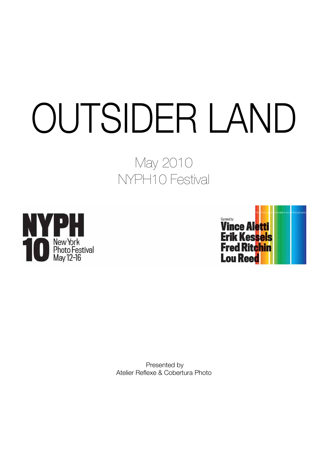# OUTSIDER LAND

# May 2010 NYPH10 Festival





 Presented by Atelier Reflexe & Cobertura Photo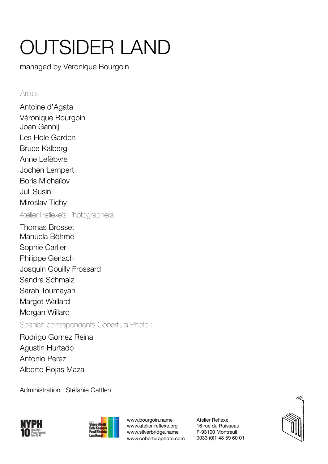# OUTSIDER LAND

managed by Véronique Bourgoin

#### Artists :

Antoine d'Agata Véronique Bourgoin Joan Gannij Les Hole Garden Bruce Kalberg Anne Lefèbvre Jochen Lempert Boris Michaïlov Juli Susin Miroslav Tichy Atelier Reflexe's Photographers :

Thomas Brosset Manuela Böhme Sophie Carlier Philippe Gerlach Josquin Gouilly Frossard Sandra Schmalz Sarah Toumayan Margot Wallard Morgan Willard Spanish correspondents Cobertura Photo :

Rodrigo Gomez Reina Agustin Hurtado Antonio Perez Alberto Rojas Maza

Administration : Stéfanie Gattlen





www.bourgoin.name www.atelier-reflexe.org www.silverbridge.name www.coberturaphoto.com Atelier Reflexe 16 rue du Ruisseau F-93100 Montreuil 0033 (0)1 48 59 60 01

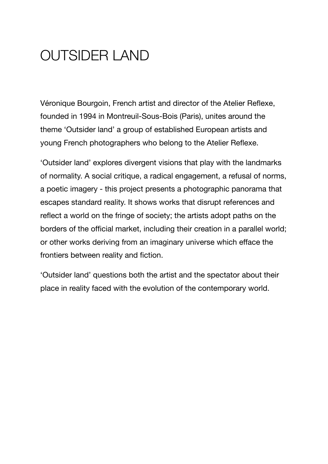# OUTSIDER LAND

Véronique Bourgoin, French artist and director of the Atelier Reflexe, founded in 1994 in Montreuil-Sous-Bois (Paris), unites around the theme 'Outsider land' a group of established European artists and young French photographers who belong to the Atelier Reflexe.

'Outsider land' explores divergent visions that play with the landmarks of normality. A social critique, a radical engagement, a refusal of norms, a poetic imagery - this project presents a photographic panorama that escapes standard reality. It shows works that disrupt references and reflect a world on the fringe of society; the artists adopt paths on the borders of the official market, including their creation in a parallel world; or other works deriving from an imaginary universe which efface the frontiers between reality and fiction.

'Outsider land' questions both the artist and the spectator about their place in reality faced with the evolution of the contemporary world.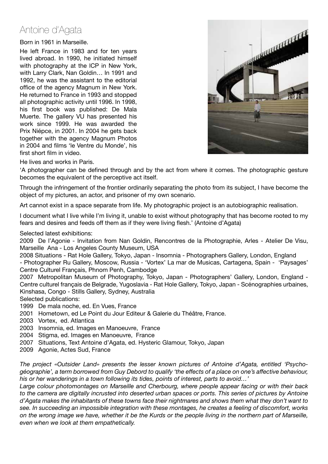## Antoine d'Agata

Born in 1961 in Marseille.

He left France in 1983 and for ten years lived abroad. In 1990, he initiated himself with photography at the lCP in New York, with Larry Clark, Nan Goldin… In 1991 and 1992, he was the assistant to the editorial office of the agency Magnum in New York. He returned to France in 1993 and stopped all photographic activity until 1996. In 1998, his first book was published: De Mala Muerte. The gallery VU has presented his work since 1999. He was awarded the Prix Niépce, in 2001. In 2004 he gets back together with the agency Magnum Photos in 2004 and films 'le Ventre du Monde', his first short film in video.



He lives and works in Paris.

'A photographer can be defined through and by the act from where it comes. The photographic gesture becomes the equivalent of the perceptive act itself.

Through the infringement of the frontier ordinarily separating the photo from its subject, I have become the object of my pictures, an actor, and prisoner of my own scenario.

Art cannot exist in a space separate from life. My photographic project is an autobiographic realisation.

I document what I live while I'm living it, unable to exist without photography that has become rooted to my fears and desires and feeds off them as if they were living flesh.' (Antoine d'Agata)

Selected latest exhibitions:

2009 De l'Agonie - Invitation from Nan Goldin, Rencontres de la Photographie, Arles - Atelier De Visu, Marseille Ana - Los Angeles County Museum, USA

2008 Situations - Rat Hole Gallery, Tokyo, Japan - Insomnia - Photographers Gallery, London, England - Photographer Ru Gallery, Moscow, Russia - 'Vortex' La mar de Musicas, Cartagena, Spain - 'Paysages' Centre Culturel Français, Phnom Penh, Cambodge

2007 Metropolitan Museum of Photography, Tokyo, Japan - Photographers' Gallery, London, England - Centre culturel français de Belgrade, Yugoslavia - Rat Hole Gallery, Tokyo, Japan - Scénographies urbaines, Kinshasa, Congo - Stills Gallery, Sydney, Australia

Selected publications:

1999 De mala noche, ed. En Vues, France

- 2001 Hometown, ed Le Point du Jour Editeur & Galerie du Théâtre, France.
- 2003 Vortex, ed. Atlantica
- 2003 Insomnia, ed. Images en Manoeuvre, France
- 2004 Stigma, ed. Images en Manoeuvre, France
- 2007 Situations, Text Antoine d'Agata, ed. Hysteric Glamour, Tokyo, Japan
- 2009 Agonie, Actes Sud, France

*The project «Outsider Land» presents the lesser known pictures of Antoine d'Agata, entitled 'Psychogéographie', a term borrowed from Guy Debord to qualify 'the effects of a place on one's affective behaviour, his or her wanderings in a town following its tides, points of interest, parts to avoid…'*

*Large colour photomontages on Marseille and Cherbourg, where people appear facing or with their back to the camera are digitally incrusted into deserted urban spaces or ports. This series of pictures by Antoine d'Agata makes the inhabitants of these towns face their nightmares and shows them what they don't want to see. In succeeding an impossible integration with these montages, he creates a feeling of discomfort, works on the wrong image we have, whether it be the Kurds or the people living in the northern part of Marseille, even when we look at them empathetically.*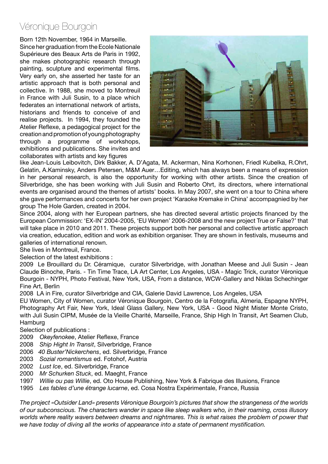#### Véronique Bourgoin

Born 12th November, 1964 in Marseille.

Since her graduation from the Ecole Nationale Supérieure des Beaux Arts de Paris in 1992, she makes photographic research through painting, sculpture and experimental films. Very early on, she asserted her taste for an artistic approach that is both personal and collective. In 1988, she moved to Montreuil in France with Juli Susin, to a place which federates an international network of artists, historians and friends to conceive of and realise projects. In 1994, they founded the Atelier Reflexe, a pedagogical project for the creation and promotion of young photography through a programme of workshops, exhibitions and publications. She invites and collaborates with artists and key figures



like Jean-Louis Leibovitch, Dirk Bakker, A. D'Agata, M. Ackerman, Nina Korhonen, Friedl Kubelka, R.Ohrt, Gelatin, A.Kaminsky, Anders Petersen, M&M Auer…Editing, which has always been a means of expression in her personal research, is also the opportunity for working with other artists. Since the creation of Silverbridge, she has been working with Juli Susin and Roberto Ohrt, its directors, where international events are organised around the themes of artists' books. In May 2007, she went on a tour to China where she gave performances and concerts for her own project 'Karaoke Kremake in China' accompagnied by her group The Hole Garden, created in 2004.

Since 2004, along with her European partners, she has directed several artistic projects financed by the European Commission: 'EX-IN' 2004-2005, 'EU Women' 2006-2008 and the new project True or False?' that will take place in 2010 and 2011. These projects support both her personal and collective artistic approach via creation, education, edition and work as exhibition organiser. They are shown in festivals, museums and galleries of international renown.

She lives in Montreuil, France.

Selection of the latest exhibitions :

2009 Le Brouillard du Dr. Céramique, curator Silverbridge, with Jonathan Meese and Juli Susin - Jean Claude Binoche, Paris. - Tin Time Trace, LA Art Center, Los Angeles, USA - Magic Trick, curator Véronique Bourgoin - NYPH, Photo Festival, New York, USA, From a distance, WCW-Gallery and Niklas Schechinger Fine Art, Berlin

2008 LA in Fire, curator Silverbridge and CIA, Galerie David Lawrence, Los Angeles, USA

EU Women, City of Women, curator Véronique Bourgoin, Centro de la Fotografia, Almeria, Espagne NYPH, Photography Art Fair, New York, Ideal Glass Gallery, New York, USA - Good Night Mister Monte Cristo, with Juli Susin CIPM, Musée de la Vieille Charité, Marseille, France, Ship High In Transit, Art Seamen Club, **Hamburg** 

Selection of publications :

- 2009 *Okeyfenokee*, Atelier Reflexe, France
- 2008 *Ship Hight In Transit*, Silverbridge, France
- 2006 *40 Buster'Nickerchens*, ed. Silverbridge, France
- 2003 *Sozial romantismus* ed. Fotohof, Austria
- 2002 *Lust Ice*, ed. Silverbridge, France
- 2000 *Mr Schurken Stuck*, ed. Maeght, France
- 1997 *Willie ou pas Willie*, ed. Oto House Publishing, New York & Fabrique des Illusions, France
- 1995 *Les fables d'une étrange lucarne*, ed. Cosa Nostra Expérimentale, France, Russia

*The project «Outsider Land» presents Véronique Bourgoin's pictures that show the strangeness of the worlds of our subconscious. The characters wander in space like sleep walkers who, in their roaming, cross illusory worlds where reality wavers between dreams and nightmares. This is what raises the problem of power that we have today of diving all the works of appearance into a state of permanent mystification.*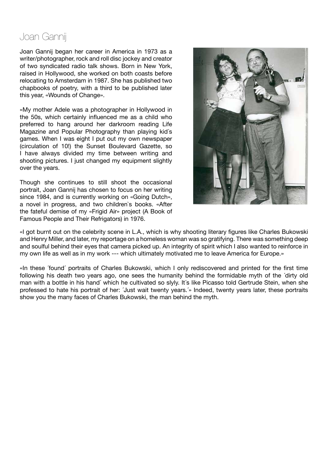# Joan Gannij

Joan Gannij began her career in America in 1973 as a writer/photographer, rock and roll disc jockey and creator of two syndicated radio talk shows. Born in New York, raised in Hollywood, she worked on both coasts before relocating to Amsterdam in 1987. She has published two chapbooks of poetry, with a third to be published later this year, «Wounds of Change».

«My mother Adele was a photographer in Hollywood in the 50s, which certainly influenced me as a child who preferred to hang around her darkroom reading Life Magazine and Popular Photography than playing kid´s games. When I was eight I put out my own newspaper (circulation of 10!) the Sunset Boulevard Gazette, so I have always divided my time between writing and shooting pictures. I just changed my equipment slightly over the years.

Though she continues to still shoot the occasional portrait, Joan Gannij has chosen to focus on her writing since 1984, and is currently working on «Going Dutch», a novel in progress, and two children`s books. «After the fateful demise of my «Frigid Air» project (A Book of Famous People and Their Refrigators) in 1976.



«I got burnt out on the celebrity scene in L.A., which is why shooting literary figures like Charles Bukowski and Henry Miller, and later, my reportage on a homeless woman was so gratifying. There was something deep and soulful behind their eyes that camera picked up. An integrity of spirit which I also wanted to reinforce in my own life as well as in my work --- which ultimately motivated me to leave America for Europe.»

«In these ´found´ portraits of Charles Bukowski, which I only rediscovered and printed for the first time following his death two years ago, one sees the humanity behind the formidable myth of the ´dirty old man with a bottle in his hand´ which he cultivated so slyly. It´s like Picasso told Gertrude Stein, when she professed to hate his portrait of her: ´Just wait twenty years.´» Indeed, twenty years later, these portraits show you the many faces of Charles Bukowski, the man behind the myth.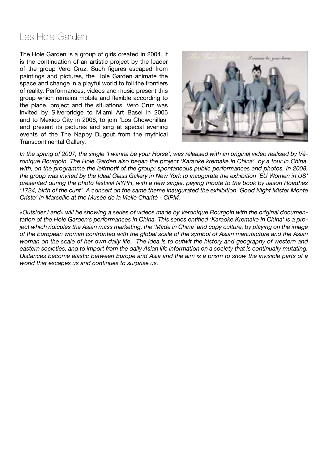#### Les Hole Garden

The Hole Garden is a group of girls created in 2004. It is the continuation of an artistic project by the leader of the group Vero Cruz. Such figures escaped from paintings and pictures, the Hole Garden animate the space and change in a playful world to foil the frontiers of reality. Performances, videos and music present this group which remains mobile and flexible according to the place, project and the situations. Vero Cruz was invited by Silverbridge to Miami Art Basel in 2005 and to Mexico City in 2006, to join 'Los Chowchillas' and present its pictures and sing at special evening events of the The Nappy Dugout from the mythical Transcontinental Gallery.



*In the spring of 2007, the single 'I wanna be your Horse', was released with an original video realised by Véronique Bourgoin. The Hole Garden also began the project 'Karaoke kremake in China', by a tour in China,*  with, on the programme the leitmotif of the group: spontaneous public performances and photos. In 2008, *the group was invited by the Ideal Glass Gallery in New York to inaugurate the exhibition 'EU Women in US' presented during the photo festival NYPH, with a new single, paying tribute to the book by Jason Roadhes '1724, birth of the cunt'. A concert on the same theme inaugurated the exhibition 'Good Night Mister Monte Cristo' in Marseille at the Musée de la Vielle Charité - CIPM.*

*«Outsider Land» will be showing a series of videos made by Veronique Bourgoin with the original documentation of the Hole Garden's performances in China. This series entitled 'Karaoke Kremake in China' is a project which ridicules the Asian mass marketing, the 'Made in China' and copy culture, by playing on the image of the European woman confronted with the global scale of the symbol of Asian manufacture and the Asian woman on the scale of her own daily life. The idea is to outwit the history and geography of western and eastern societies, and to import from the daily Asian life information on a society that is continually mutating. Distances become elastic between Europe and Asia and the aim is a prism to show the invisible parts of a world that escapes us and continues to surprise us.*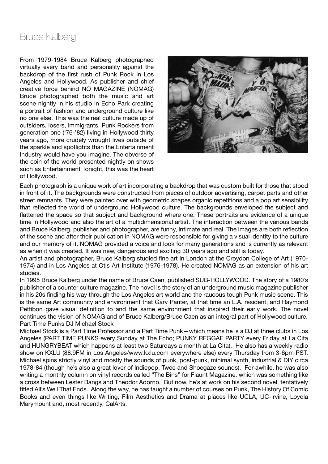# Bruce Kalberg

From 1979-1984 Bruce Kalberg photographed virtually every band and personality against the backdrop of the first rush of Punk Rock in Los Angeles and Hollywood. As publisher and chief creative force behind NO MAGAZINE (NOMAG) Bruce photographed both the music and art scene nightly in his studio in Echo Park creating a portrait of fashion and underground culture like no one else. This was the real culture made up of outsiders, losers, immigrants, Punk Rockers from generation one ('76-'82) living in Hollywood thirty years ago, more crudely wrought lives outside of the sparkle and spotlights than the Entertainment Industry would have you imagine. The obverse of the coin of the world presented nightly on shows such as Entertainment Tonight, this was the heart of Hollywood.



Each photograph is a unique work of art incorporating a backdrop that was custom built for those that stood in front of it. The backgrounds were constructed from pieces of outdoor advertising, carpet parts and other street remnants. They were painted over with geometric shapes organic repetitions and a pop art sensibility that reflected the world of underground Hollywood culture. The backgrounds enveloped the subject and flattened the space so that subject and background where one. These portraits are evidence of a unique time in Hollywood and also the art of a multidimensional artist. The interaction between the various bands and Bruce Kalberg, publisher and photographer, are funny, intimate and real. The images are both reflection of the scene and after their publication in NOMAG were responsible for giving a visual identity to the culture and our memory of it. NOMAG provided a voice and look for many generations and is currently as relevant as when it was created. It was new, dangerous and exciting 30 years ago and still is today.

An artist and photographer, Bruce Kalberg studied fine art in London at the Croydon College of Art (1970- 1974) and in Los Angeles at Otis Art Institute (1976-1978). He created NOMAG as an extension of his art studies.

In 1995 Bruce Kalberg under the name of Bruce Caen, published SUB-HOLLYWOOD. The story of a 1980's publisher of a counter culture magazine. The novel is the story of an underground music magazine publisher in his 20s finding his way through the Los Angeles art world and the raucous tough Punk music scene. This is the same Art community and environment that Gary Panter, at that time an L.A. resident, and Raymond Pettibon gave visual definition to and the same environment that inspired their early work. The novel continues the vision of NOMAG and of Bruce Kalberg/Bruce Caen as an integral part of Hollywood culture. Part Time Punks DJ Michael Stock

Michael Stock is a Part Time Professor and a Part Time Punk—which means he is a DJ at three clubs in Los Angeles (PART TIME PUNKS every Sunday at The Echo; PUNKY REGGAE PARTY every Friday at La Cita and HUNGRYBEAT which happens at least two Saturdays a month at La Cita). He also has a weekly radio show on KXLU (88.9FM in Los Angeles/www.kxlu.com everywhere else) every Thursday from 3-6pm PST. Michael spins strictly vinyl and mostly the sounds of punk, post-punk, minimal synth, industrial & DIY circa 1978-84 (though he's also a great lover of Indiepop, Twee and Shoegaze sounds). For awhile, he was also writing a monthly column on vinyl records called "The Bins" for Flaunt Magazine, which was something like a cross between Lester Bangs and Theodor Adorno. But now, he's at work on his second novel, tentatively titled All's Well That Ends. Along the way, he has taught a number of courses on Punk, The History Of Comic Books and even things like Writing, Film Aesthetics and Drama at places like UCLA, UC-Irvine, Loyola Marymount and, most recently, CalArts.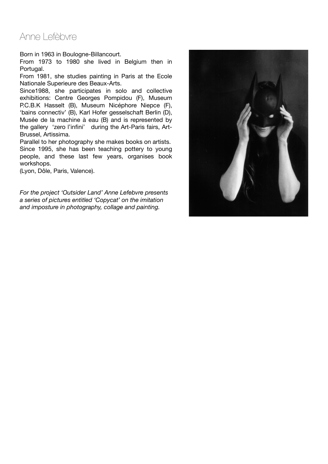#### Anne Lefèbvre

Born in 1963 in Boulogne-Billancourt.

From 1973 to 1980 she lived in Belgium then in Portugal.

From 1981, she studies painting in Paris at the Ecole Nationale Superieure des Beaux-Arts.

Since1988, she participates in solo and collective exhibitions: Centre Georges Pompidou (F), Museum P.C.B.K Hasselt (B), Museum Nicéphore Niepce (F), 'bains connectiv' (B), Karl Hofer gesselschaft Berlin (D), Musée de la machine à eau (B) and is represented by the gallery 'zero l'infini' during the Art-Paris fairs, Art-Brussel, Artissima.

Parallel to her photography she makes books on artists. Since 1995, she has been teaching pottery to young people, and these last few years, organises book workshops.

(Lyon, Dôle, Paris, Valence).

*For the project 'Outsider Land' Anne Lefebvre presents a series of pictures entitled 'Copycat' on the imitation and imposture in photography, collage and painting.*

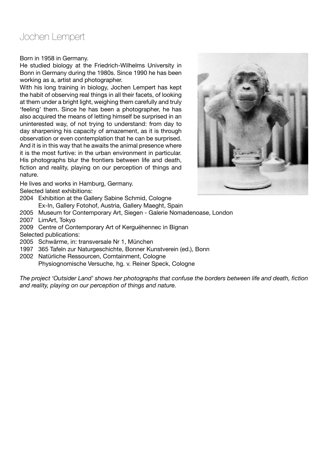#### Jochen Lempert

Born in 1958 in Germany.

He studied biology at the Friedrich-Wilhelms University in Bonn in Germany during the 1980s. Since 1990 he has been working as a, artist and photographer.

With his long training in biology, Jochen Lempert has kept the habit of observing real things in all their facets, of looking at them under a bright light, weighing them carefully and truly 'feeling' them. Since he has been a photographer, he has also acquired the means of letting himself be surprised in an uninterested way, of not trying to understand: from day to day sharpening his capacity of amazement, as it is through observation or even contemplation that he can be surprised. And it is in this way that he awaits the animal presence where it is the most furtive: in the urban environment in particular. His photographs blur the frontiers between life and death, fiction and reality, playing on our perception of things and nature.

He lives and works in Hamburg, Germany.

Selected latest exhibitions:

- 2004 Exhibition at the Gallery Sabine Schmid, Cologne Ex-In, Gallery Fotohof, Austria, Gallery Maeght, Spain
- 2005 Museum for Contemporary Art, Siegen Galerie Nomadenoase, London
- 2007 LimArt, Tokyo
- 2009 Centre of Contemporary Art of Kerguéhennec in Bignan
- Selected publications:
- 2005 Schwärme, in: transversale Nr 1, München
- 1997 365 Tafeln zur Naturgeschichte, Bonner Kunstverein (ed.), Bonn
- 2002 Natürliche Ressourcen, Comtainment, Cologne Physiognomische Versuche, hg. v. Reiner Speck, Cologne

*The project 'Outsider Land' shows her photographs that confuse the borders between life and death, fiction and reality, playing on our perception of things and nature.* 

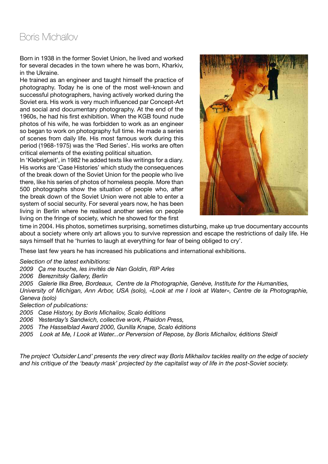## Boris Michaïlov

Born in 1938 in the former Soviet Union, he lived and worked for several decades in the town where he was born, Kharkiv, in the Ukraine.

He trained as an engineer and taught himself the practice of photography. Today he is one of the most well-known and successful photographers, having actively worked during the Soviet era. His work is very much influenced par Concept-Art and social and documentary photography. At the end of the 1960s, he had his first exhibition. When the KGB found nude photos of his wife, he was forbidden to work as an engineer so began to work on photography full time. He made a series of scenes from daily life. His most famous work during this period (1968-1975) was the 'Red Series'. His works are often critical elements of the existing political situation.

In 'Klebrigkeit', in 1982 he added texts like writings for a diary. His works are 'Case Histories' which study the consequences of the break down of the Soviet Union for the people who live there, like his series of photos of homeless people. More than 500 photographs show the situation of people who, after the break down of the Soviet Union were not able to enter a system of social security. For several years now, he has been living in Berlin where he realised another series on people living on the fringe of society, which he showed for the first



time in 2004. His photos, sometimes surprising, sometimes disturbing, make up true documentary accounts about a society where only art allows you to survive repression and escape the restrictions of daily life. He says himself that he 'hurries to laugh at everything for fear of being obliged to cry'.

These last few years he has increased his publications and international exhibitions.

*Selection of the latest exhibitions:*

*2009 Ça me touche, les invités de Nan Goldin, RIP Arles*

*2006 Bereznitsky Gallery, Berlin*

*2005 Galerie Ilka Bree, Bordeaux, Centre de la Photographie, Genève, Institute for the Humanities,* 

*University of Michigan, Ann Arbor, USA (solo), «Look at me I look at Water», Centre de la Photographie, Geneva (solo)*

*Selection of publications:*

*2005 Case History, by Boris Michailov, Scalo éditions*

*2006 Yesterday's Sandwich, collective work, Phaidon Press,* 

*2005 The Hasselblad Award 2000, Gunilla Knape, Scalo éditions* 

*2005 Look at Me, I Look at Water...or Perversion of Repose, by Boris Michailov, éditions Steidl*

*The project 'Outsider Land' presents the very direct way Boris Mikhailov tackles reality on the edge of society and his critique of the 'beauty mask' projected by the capitalist way of life in the post-Soviet society.*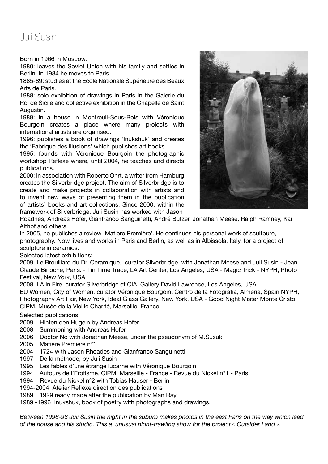#### Juli Susin

Born in 1966 in Moscow.

1980: leaves the Soviet Union with his family and settles in Berlin. In 1984 he moves to Paris.

1885-89: studies at the Ecole Nationale Supérieure des Beaux Arts de Paris.

1988: solo exhibition of drawings in Paris in the Galerie du Roi de Sicile and collective exhibition in the Chapelle de Saint Augustin.

1989: in a house in Montreuil-Sous-Bois with Véronique Bourgoin creates a place where many projects with international artists are organised.

1996: publishes a book of drawings 'Inukshuk' and creates the 'Fabrique des illusions' which publishes art books.

1995: founds with Véronique Bourgoin the photographic workshop Reflexe where, until 2004, he teaches and directs publications.

2000: in association with Roberto Ohrt, a writer from Hamburg creates the Silverbridge project. The aim of Silverbridge is to create and make projects in collaboration with artists and to invent new ways of presenting them in the publication of artists' books and art collections. Since 2000, within the framework of Silverbridge, Juli Susin has worked with Jason



Roadhes, Andreas Hofer, Gianfranco Sanguinetti, André Butzer, Jonathan Meese, Ralph Ramney, Kai Althof and others.

In 2005, he publishes a review 'Matiere Première'. He continues his personal work of scultpure, photography. Now lives and works in Paris and Berlin, as well as in Albissola, Italy, for a project of sculpture in ceramics.

Selected latest exhibitions:

2009 Le Brouillard du Dr. Céramique, curator Silverbridge, with Jonathan Meese and Juli Susin - Jean Claude Binoche, Paris. - Tin Time Trace, LA Art Center, Los Angeles, USA - Magic Trick - NYPH, Photo Festival, New York, USA

2008 LA in Fire, curator Silverbridge et CIA, Gallery David Lawrence, Los Angeles, USA EU Women, City of Women, curator Véronique Bourgoin, Centro de la Fotografia, Almeria, Spain NYPH, Photography Art Fair, New York, Ideal Glass Gallery, New York, USA - Good Night Mister Monte Cristo, CIPM, Musée de la Vieille Charité, Marseille, France

Selected publications:

- 2009 Hinten den Hugeln by Andreas Hofer.
- 2008 Summoning with Andreas Hofer
- 2006 Doctor No with Jonathan Meese, under the pseudonym of M.Susuki
- 2005 Matière Premiere n°1
- 2004 1724 with Jason Rhoades and Gianfranco Sanguinetti
- 1997 De la méthode, by Juli Susin
- 1995 Les fables d'une étrange lucarne with Véronique Bourgoin
- 1994 Autours de l'Erotisme, CIPM, Marseille France Revue du Nickel n°1 Paris
- 1994 Revue du Nickel n°2 with Tobias Hauser Berlin
- 1994-2004 Atelier Reflexe direction des publications
- 1989 1929 ready made after the publication by Man Ray
- 1989 -1996 Inukshuk, book of poetry with photographs and drawings.

*Between 1996-98 Juli Susin the night in the suburb makes photos in the east Paris on the way which lead of the house and his studio. This a unusual night-trawling show for the project « Outsider Land «.*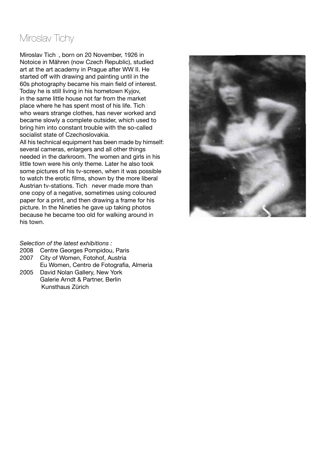#### Miroslav Tichy

Miroslav Tich, born on 20 November, 1926 in Notoice in Mähren (now Czech Republic), studied art at the art academy in Prague after WW II. He started off with drawing and painting until in the 60s photography became his main field of interest. Today he is still living in his hometown Kyjov, in the same little house not far from the market place where he has spent most of his life. Tich who wears strange clothes, has never worked and became slowly a complete outsider, which used to bring him into constant trouble with the so-called socialist state of Czechoslovakia.

All his technical equipment has been made by himself: several cameras, enlargers and all other things needed in the darkroom. The women and girls in his little town were his only theme. Later he also took some pictures of his tv-screen, when it was possible to watch the erotic films, shown by the more liberal Austrian ty-stations. Tich never made more than one copy of a negative, sometimes using coloured paper for a print, and then drawing a frame for his picture. In the Nineties he gave up taking photos because he became too old for walking around in his town.

#### *Selection of the latest exhibitions :*

- 2008 Centre Georges Pompidou, Paris
- 2007 City of Women, Fotohof, Austria
- Eu Women, Centro de Fotografia, Almeria
- 2005 David Nolan Gallery, New York Galerie Arndt & Partner, Berlin Kunsthaus Zürich

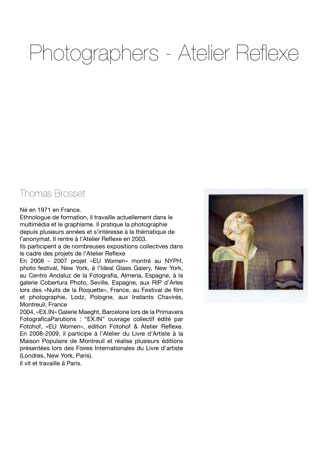# Photographers - Atelier Reflexe

#### Thomas Brosset

#### Né en 1971 en France.

Ethnologue de formation, il travaille actuellement dans le multimédia et le graphisme. Il pratique la photographie depuis plusieurs années et s'intéresse à la thématique de l'anonymat. Il rentre à l'Atelier Reflexe en 2003.

Ils participent a de nombreuses expositions collectives dans le cadre des projets de l'Atelier Reflexe

En 2008 - 2007 projet «EU Women» montré au NYPH, photo festival, New York, à l'Ideal Glass Galery, New York, au Centro Andaluz de la Fotografia, Almeria, Espagne, à la galerie Cobertura Photo, Seville, Espagne, aux RIP d'Arles lors des «Nuits de la Roquette», France, au Festival de film et photographie, Lodz, Pologne, aux Instants Chavirés, Montreuil, France

2004, «EX.IN» Galerie Maeght, Barcelone lors de la Primavera FotograficaParutions : "EX.IN" ouvrage collectif édité par Fotohof, «EU Women», edition Fotohof & Atelier Reflexe. En 2008-2009, il participe à l'Atelier du Livre d'Artiste à la Maison Populaire de Montreuil et réalise plusieurs éditions présentées lors des Foires Internationales du Livre d'artiste (Londres, New York, Paris).

Il vit et travaille à Paris.

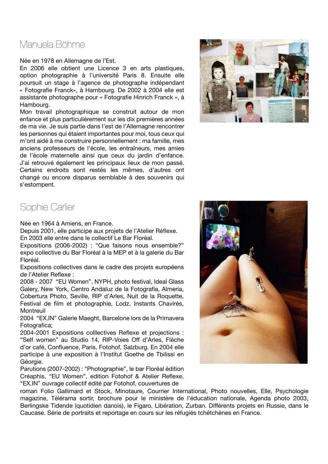#### Manuela Böhme

Née en 1978 en Allemagne de l'Est.

En 2006 elle obtient une Licence 3 en arts plastiques, option photographie à l'université Paris 8. Ensuite elle poursuit un stage à l'agence de photographe indépendant « Fotografie Franck», à Hambourg. De 2002 à 2004 elle est assistante photographe pour « Fotografie Hinrich Franck », à Hambourg.

Mon travail photographique se construit autour de mon enfance et plus particulièrement sur les dix premières années de ma vie. Je suis partie dans l'est de l'Allemagne rencontrer les personnes qui étaient importantes pour moi, tous ceux qui m'ont aidé à me construire personnellement : ma famille, mes anciens professeurs de l'école, les entraîneurs, mes amies de l'école maternelle ainsi que ceux du jardin d'enfance. J'ai retrouvé également les principaux lieux de mon passé. Certains endroits sont restés les mêmes, d'autres ont changé ou encore disparus semblable à des souvenirs qui s'estompent.



#### Sophie Carlier

Née en 1964 à Amiens, en France.

Depuis 2001, elle participe aux projets de l'Atelier Réflexe. En 2003 elle entre dans le collectif Le Bar Floréal.

Expositions (2006-2002) : "Que faisons nous ensemble?" expo collective du Bar Floréal à la MEP et à la galerie du Bar Floréal.

Expositions collectives dans le cadre des projets européens de l'Atelier Reflexe :

2008 - 2007 "EU Women", NYPH, photo festival, Ideal Glass Galery, New York, Centro Andaluz de la Fotografia, Almeria, Cobertura Photo, Seville, RIP d'Arles, Nuit de la Roquette, Festival de film et photographie, Lodz, Instants Chavirés, Montreuil

2004 "EX.IN" Galerie Maeght, Barcelone lors de la Primavera Fotografica;

2004-2001 Expositions colllectives Reflexe et projections : "Self women" au Studio 14, RIP-Voies Off d'Arles, Flèche d'or café, Confluence, Paris, Fotohof, Salzburg. En 2004 elle participe à une exposition à l'Institut Goethe de Tbilissi en Géorgie.

Parutions (2007-2002) : "Photographie", le bar Floréal édition Créaphis, "EU Women", edition Fotohof & Atelier Reflexe, "EX.IN" ouvrage collectif édité par Fotohof, couvertures de

roman Folio Gallimard et Stock, Minotaure, Courrier International, Photo nouvelles, Elle, Psychologie magazine, Télérama sortir, brochure pour le ministère de l'éducation nationale, Agenda photo 2003, Berlingske Tidende (quotidien danois), le Figaro, Libération, Zurban. Différents projets en Russie, dans le Caucase. Série de portraits et reportage en cours sur les réfugiés tchétchènes en France.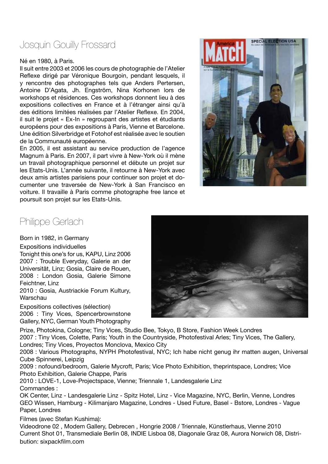### Josquin Gouilly Frossard

#### Né en 1980, à Paris.

Il suit entre 2003 et 2006 les cours de photographie de l'Atelier Reflexe dirigé par Véronique Bourgoin, pendant lesquels, il y rencontre des photographes tels que Anders Pertersen, Antoine D'Agata, Jh. Engström, Nina Korhonen lors de workshops et résidences. Ces workshops donnent lieu à des expositions collectives en France et à l'étranger ainsi qu'à des éditions limitées réalisées par l'Atelier Reflexe. En 2004, il suit le projet « Ex-In » regroupant des artistes et étudiants européens pour des expositions à Paris, Vienne et Barcelone. Une édition Silverbridge et Fotohof est réalisée avec le soutien de la Communauté européenne.

En 2005, il est assistant au service production de l'agence Magnum à Paris. En 2007, il part vivre à New-York où il mène un travail photographique personnel et débute un projet sur les Etats-Unis. L'année suivante, il retourne à New-York avec deux amis artistes parisiens pour continuer son projet et documenter une traversée de New-York à San Francisco en voiture. Il travaille à Paris comme photographe free lance et poursuit son projet sur les Etats-Unis.



#### Philippe Gerlach

Born in 1982, in Germany

Expositions individuelles

Tonight this one's for us, KAPU, Linz 2006 2007 : Trouble Everyday, Galerie an der Universität, Linz; Gosia, Claire de Rouen, 2008 : London Gosia, Galerie Simone Feichtner, Linz

2010 : Gosia, Austriackie Forum Kultury, **Warschau** 

Expositions collectives (sélection) 2006 : Tiny Vices, Spencerbrownstone Gallery, NYC, German Youth Photography

Prize, Photokina, Cologne; Tiny Vices, Studio Bee, Tokyo, B Store, Fashion Week Londres 2007 : Tiny Vices, Colette, Paris; Youth in the Countryside, Photofestival Arles; Tiny Vices, The Gallery, Londres; Tiny Vices, Proyectos Monclova, Mexico City

2008 : Various Photographs, NYPH Photofestival, NYC; Ich habe nicht genug ihr matten augen, Universal Cube Spinnerei, Leipzig

2009 : nofound/bedroom, Galerie Mycroft, Paris; Vice Photo Exhibition, theprintspace, Londres; Vice Photo Exhibition, Galerie Chappe, Paris

2010 : LOVE-1, Love-Projectspace, Vienne; Triennale 1, Landesgalerie Linz Commandes :

OK Center, Linz - Landesgalerie Linz - Spitz Hotel, Linz - Vice Magazine, NYC, Berlin, Vienne, Londres GEO Wissen, Hamburg - Kilimanjaro Magazine, Londres - Used Future, Basel - Bstore, Londres - Vague Paper, Londres

Filmes (avec Stefan Kushima):

Videodrone 02 , Modem Gallery, Debrecen , Hongrie 2008 / Triennale, Künstlerhaus, Vienne 2010 Current Shot 01, Transmediale Berlin 08, INDIE Lisboa 08, Diagonale Graz 08, Aurora Norwich 08, Distribution: sixpackfilm.com

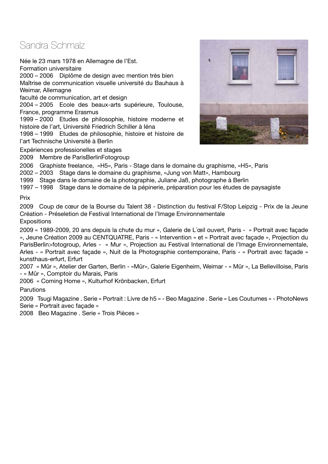#### Sandra Schmalz

Née le 23 mars 1978 en Allemagne de l'Est.

Formation universitaire

2000 – 2006 Diplôme de design avec mention très bien Maîtrise de communication visuelle université du Bauhaus à Weimar, Allemagne

faculté de communication, art et design

2004 – 2005 Ecole des beaux-arts supérieure, Toulouse, France, programme Erasmus

1999 – 2000 Etudes de philosophie, histoire moderne et histoire de l'art, Université Friedrich Schiller à Iéna

1998 – 1999 Etudes de philosophie, histoire et histoire de l'art Technische Université à Berlin

Expériences professionelles et stages

2009 Membre de ParisBerlinFotogroup



2006 Graphiste freelance, «H5», Paris - Stage dans le domaine du graphisme, «H5», Paris

2002 – 2003 Stage dans le domaine du graphisme, «Jung von Matt», Hambourg

1999 Stage dans le domaine de la photographie, Juliane Jaß, photographe à Berlin

1997 – 1998 Stage dans le domaine de la pépinerie, préparation pour les études de paysagiste

Prix

2009 Coup de cœur de la Bourse du Talent 38 - Distinction du festival F/Stop Leipzig - Prix de la Jeune Création - Préseletion de Festival International de l'Image Environnementale **Expositions** 

2009 « 1989-2009, 20 ans depuis la chute du mur », Galerie de L´œil ouvert, Paris - « Portrait avec façade », Jeune Création 2009 au CENTQUATRE, Paris - « Intervention » et « Portrait avec façade », Projection du ParisBerlin>fotogroup, Arles - « Mur », Projection au Festival International de l'Image Environnementale, Arles - « Portrait avec façade », Nuit de la Photographie contemporaine, Paris - « Portrait avec façade » kunsthaus-erfurt, Erfurt

2007 « Mûr », Atelier der Garten, Berlin - «Mûr», Galerie Eigenheim, Weimar - « Mûr », La Bellevilloise, Paris - « Mûr », Comptoir du Marais, Paris

2006 « Coming Home », Kulturhof Krönbacken, Erfurt

Parutions

2009 Tsugi Magazine . Serie « Portrait : Livre de h5 » - Beo Magazine . Serie « Les Coutumes » - PhotoNews Serie « Portrait avec façade »

2008 Beo Magazine . Serie « Trois Pièces »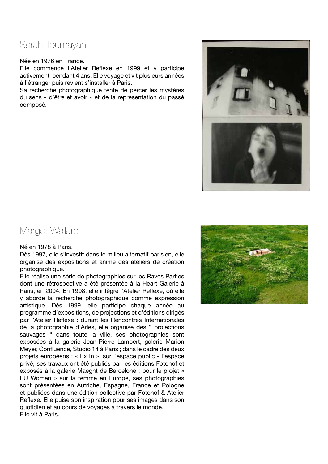#### Sarah Toumayan

#### Née en 1976 en France.

Elle commence l'Atelier Reflexe en 1999 et y participe activement pendant 4 ans. Elle voyage et vit plusieurs années à l'étranger puis revient s'installer à Paris.

Sa recherche photographique tente de percer les mystères du sens « d'être et avoir » et de la représentation du passé composé.



#### Margot Wallard

#### Né en 1978 à Paris.

Dès 1997, elle s'investit dans le milieu alternatif parisien, elle organise des expositions et anime des ateliers de création photographique.

Elle réalise une série de photographies sur les Raves Parties dont une rétrospective a été présentée à la Heart Galerie à Paris, en 2004. En 1998, elle intègre l'Atelier Reflexe, où elle y aborde la recherche photographique comme expression artistique. Dès 1999, elle participe chaque année au programme d'expositions, de projections et d'éditions dirigés par l'Atelier Reflexe : durant les Rencontres Internationales de la photographie d'Arles, elle organise des " projections sauvages " dans toute la ville, ses photographies sont exposées à la galerie Jean-Pierre Lambert, galerie Marion Meyer, Confluence, Studio 14 à Paris ; dans le cadre des deux projets européens : « Ex In », sur l'espace public - l'espace privé, ses travaux ont été publiés par les éditions Fotohof et exposés à la galerie Maeght de Barcelone ; pour le projet « EU Women » sur la femme en Europe, ses photographies sont présentées en Autriche, Espagne, France et Pologne et publiées dans une édition collective par Fotohof & Atelier Reflexe. Elle puise son inspiration pour ses images dans son quotidien et au cours de voyages à travers le monde. Elle vit à Paris.

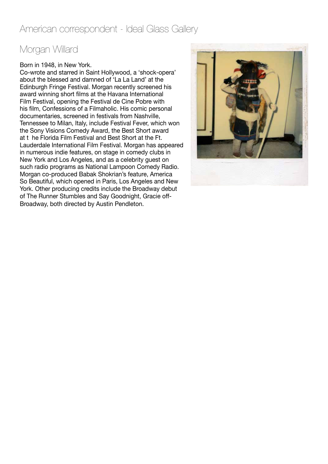#### American correspondent - Ideal Glass Gallery

# Morgan Willard

#### Born in 1948, in New York.

Co-wrote and starred in Saint Hollywood, a 'shock-opera' about the blessed and damned of 'La La Land' at the Edinburgh Fringe Festival. Morgan recently screened his award winning short films at the Havana International Film Festival, opening the Festival de Cine Pobre with his film, Confessions of a Filmaholic. His comic personal documentaries, screened in festivals from Nashville, Tennessee to Milan, Italy, include Festival Fever, which won the Sony Visions Comedy Award, the Best Short award at t he Florida Film Festival and Best Short at the Ft. Lauderdale International Film Festival. Morgan has appeared in numerous indie features, on stage in comedy clubs in New York and Los Angeles, and as a celebrity guest on such radio programs as National Lampoon Comedy Radio. Morgan co-produced Babak Shokrian's feature, America So Beautiful, which opened in Paris, Los Angeles and New York. Other producing credits include the Broadway debut of The Runner Stumbles and Say Goodnight, Gracie off-Broadway, both directed by Austin Pendleton.

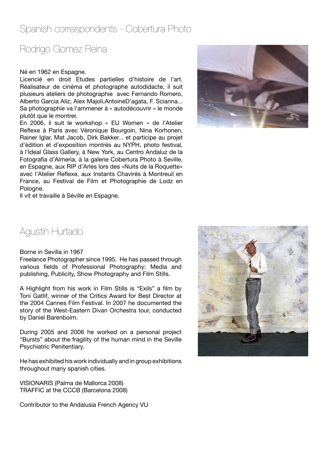#### Spanish correspondents - Cobertura Photo

# Rodrigo Gomez Reina

#### Né en 1962 en Espagne.

Licencié en droit Etudes partielles d'histoire de l'art. Réalisateur de cinéma et photographe autodidacte, il suit plusieurs ateliers de photographie avec Fernando Romero, Alberto Garcia Aliz, Alex Majoli,AntoineD'agata, F. Scianna... Sa photographie va l'ammener à « autodécouvrir » le monde plutôt que le montrer.

En 2006, il suit le workshop « EU Women » de l'Atelier Reflexe à Paris avec Véronique Bourgoin, Nina Korhonen, Rainer Iglar, Mat Jacob, Dirk Bakker... et participe au projet d'édition et d'exposition montrés au NYPH, photo festival, à l'Ideal Glass Gallery, à New York, au Centro Andaluz de la Fotografia d'Almeria, à la galerie Cobertura Photo à Seville, en Espagne, aux RIP d'Arles lors des «Nuits de la Roquette» avec l'Atelier Reflexe, aux Instants Chavirés à Montreuil en France, au Festival de Film et Photographie de Lodz en Pologne.



Il vit et travaille à Séville en Espagne.

#### Agustín Hurtado

#### Borne in Sevilla in 1967

Freelance Photographer since 1995. He has passed through various fields of Professional Photography: Media and publishing, Publicity, Show Photography and Film Stills.

A Highlight from his work in Film Stills is "Exils" a film by Toni Gatlif, winner of the Critics Award for Best Director at the 2004 Cannes Film Festival. In 2007 he documented the story of the West-Eastern Divan Orchestra tour, conducted by Daniel Barenboim.

During 2005 and 2006 he worked on a personal project "Bursts" about the fragility of the human mind in the Seville Psychiatric Penitentiary.

He has exhibited his work individually and in group exhibitions throughout many spanish cities.

VISIONARIS (Palma de Mallorca 2008) TRAFFIC at the CCCB (Barcelona 2008)

Contributor to the Andalusia French Agency VU